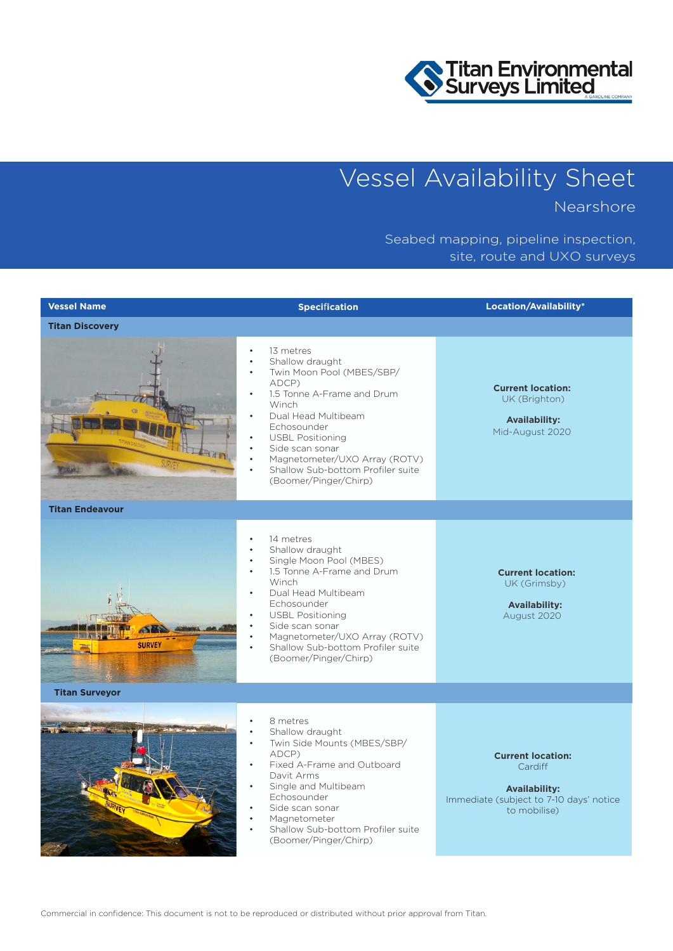

## Vessel Availability Sheet

Nearshore

## Seabed mapping, pipeline inspection, site, route and UXO surveys

| <b>Vessel Name</b>     | <b>Specification</b>                                                                                                                                                                                                                                                                                                                                                                      | Location/Availability*                                                                                                 |
|------------------------|-------------------------------------------------------------------------------------------------------------------------------------------------------------------------------------------------------------------------------------------------------------------------------------------------------------------------------------------------------------------------------------------|------------------------------------------------------------------------------------------------------------------------|
| <b>Titan Discovery</b> |                                                                                                                                                                                                                                                                                                                                                                                           |                                                                                                                        |
|                        | 13 metres<br>$\bullet$<br>Shallow draught<br>Twin Moon Pool (MBES/SBP/<br>$\bullet$<br>ADCP)<br>1.5 Tonne A-Frame and Drum<br>$\bullet$<br>Winch<br>Dual Head Multibeam<br>Echosounder<br><b>USBL Positioning</b><br>Side scan sonar<br>Magnetometer/UXO Array (ROTV)<br>Shallow Sub-bottom Profiler suite<br>(Boomer/Pinger/Chirp)                                                       | <b>Current location:</b><br>UK (Brighton)<br><b>Availability:</b><br>Mid-August 2020                                   |
| <b>Titan Endeavour</b> |                                                                                                                                                                                                                                                                                                                                                                                           |                                                                                                                        |
| <b>SURVEY</b>          | 14 metres<br>$\bullet$<br>Shallow draught<br>Single Moon Pool (MBES)<br>$\bullet$<br>1.5 Tonne A-Frame and Drum<br>$\bullet$<br>Winch<br>Dual Head Multibeam<br>$\bullet$<br>Echosounder<br><b>USBL Positioning</b><br>$\bullet$<br>Side scan sonar<br>$\bullet$<br>Magnetometer/UXO Array (ROTV)<br>$\bullet$<br>Shallow Sub-bottom Profiler suite<br>$\bullet$<br>(Boomer/Pinger/Chirp) | <b>Current location:</b><br>UK (Grimsby)<br><b>Availability:</b><br>August 2020                                        |
| <b>Titan Surveyor</b>  |                                                                                                                                                                                                                                                                                                                                                                                           |                                                                                                                        |
|                        | 8 metres<br>Shallow draught<br>Twin Side Mounts (MBES/SBP/<br>$\bullet$<br>ADCP)<br>Fixed A-Frame and Outboard<br>$\bullet$<br>Davit Arms<br>Single and Multibeam<br>Echosounder<br>Side scan sonar<br>Magnetometer<br>Shallow Sub-bottom Profiler suite<br>$\bullet$<br>(Boomer/Pinger/Chirp)                                                                                            | <b>Current location:</b><br>Cardiff<br><b>Availability:</b><br>Immediate (subject to 7-10 days' notice<br>to mobilise) |